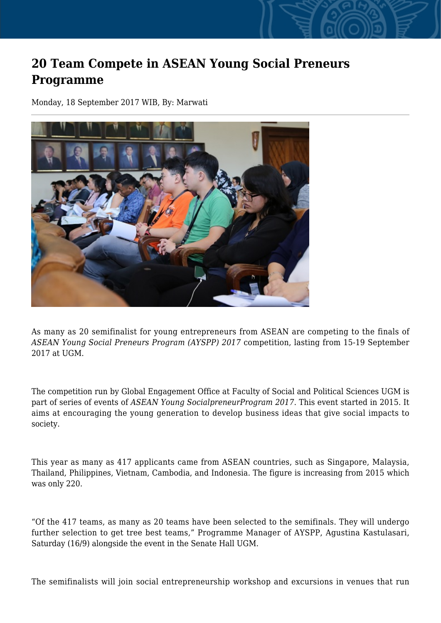## **20 Team Compete in ASEAN Young Social Preneurs Programme**

Monday, 18 September 2017 WIB, By: Marwati



As many as 20 semifinalist for young entrepreneurs from ASEAN are competing to the finals of *ASEAN Young Social Preneurs Program (AYSPP) 2017* competition, lasting from 15-19 September 2017 at UGM.

The competition run by Global Engagement Office at Faculty of Social and Political Sciences UGM is part of series of events of *ASEAN Young SocialpreneurProgram 2017*. This event started in 2015. It aims at encouraging the young generation to develop business ideas that give social impacts to society.

This year as many as 417 applicants came from ASEAN countries, such as Singapore, Malaysia, Thailand, Philippines, Vietnam, Cambodia, and Indonesia. The figure is increasing from 2015 which was only 220.

"Of the 417 teams, as many as 20 teams have been selected to the semifinals. They will undergo further selection to get tree best teams," Programme Manager of AYSPP, Agustina Kastulasari, Saturday (16/9) alongside the event in the Senate Hall UGM.

The semifinalists will join social entrepreneurship workshop and excursions in venues that run